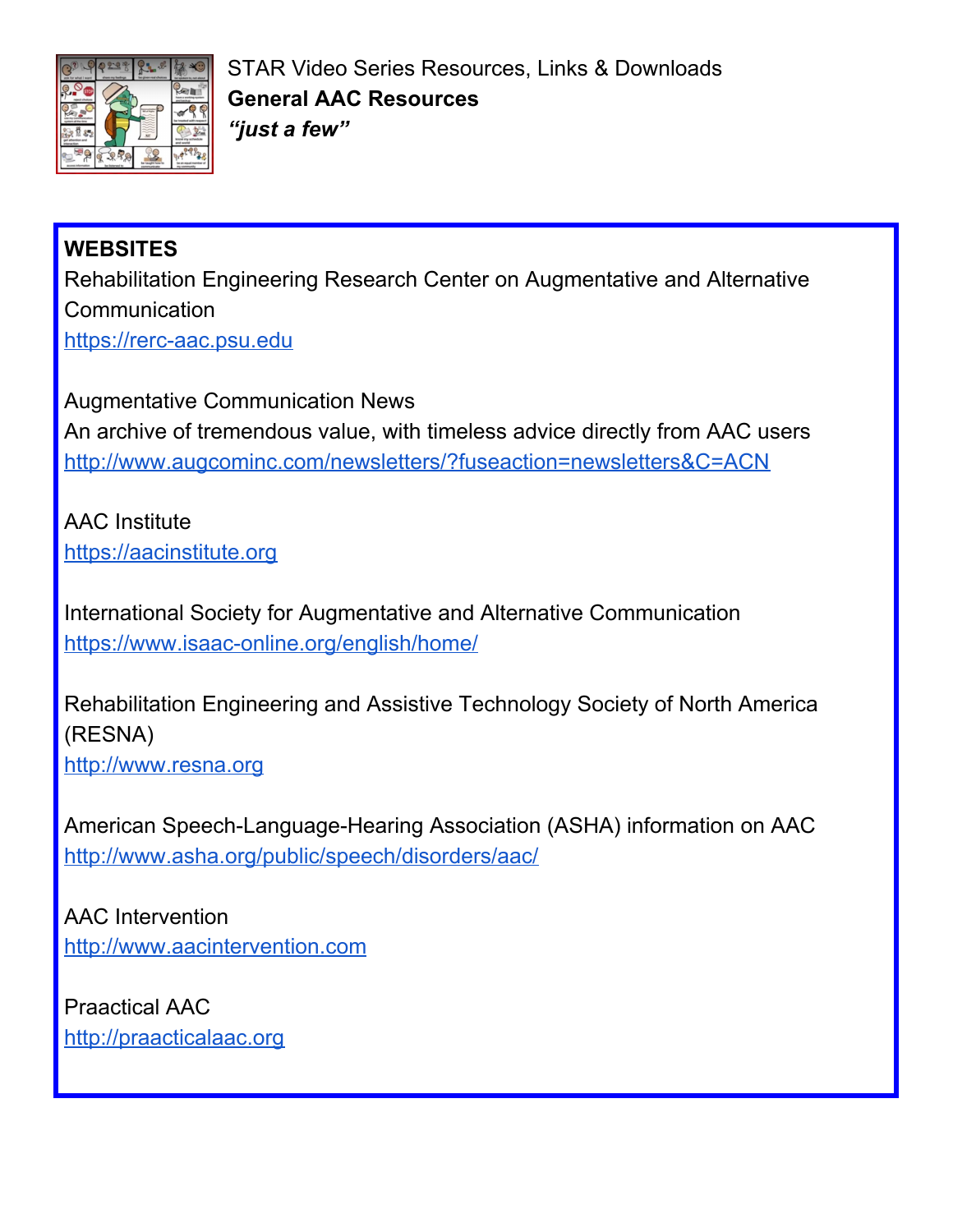

STAR Video Series Resources, Links & Downloads **General AAC Resources** *"just a few"*

## **WEBSITES**

Rehabilitation Engineering Research Center on Augmentative and Alternative **Communication** [https://rerc-aac.psu.edu](https://rerc-aac.psu.edu/)

Augmentative Communication News An archive of tremendous value, with timeless advice directly from AAC users <http://www.augcominc.com/newsletters/?fuseaction=newsletters&C=ACN>

AAC Institute [https://aacinstitute.org](https://aacinstitute.org/)

International Society for Augmentative and Alternative Communication <https://www.isaac-online.org/english/home/>

Rehabilitation Engineering and Assistive Technology Society of North America (RESNA)

[http://www.resna.org](http://www.resna.org/)

American Speech-Language-Hearing Association (ASHA) information on AAC <http://www.asha.org/public/speech/disorders/aac/>

AAC Intervention [http://www.aacintervention.com](http://www.aacintervention.com/)

Praactical AAC [http://praacticalaac.org](http://praacticalaac.org/)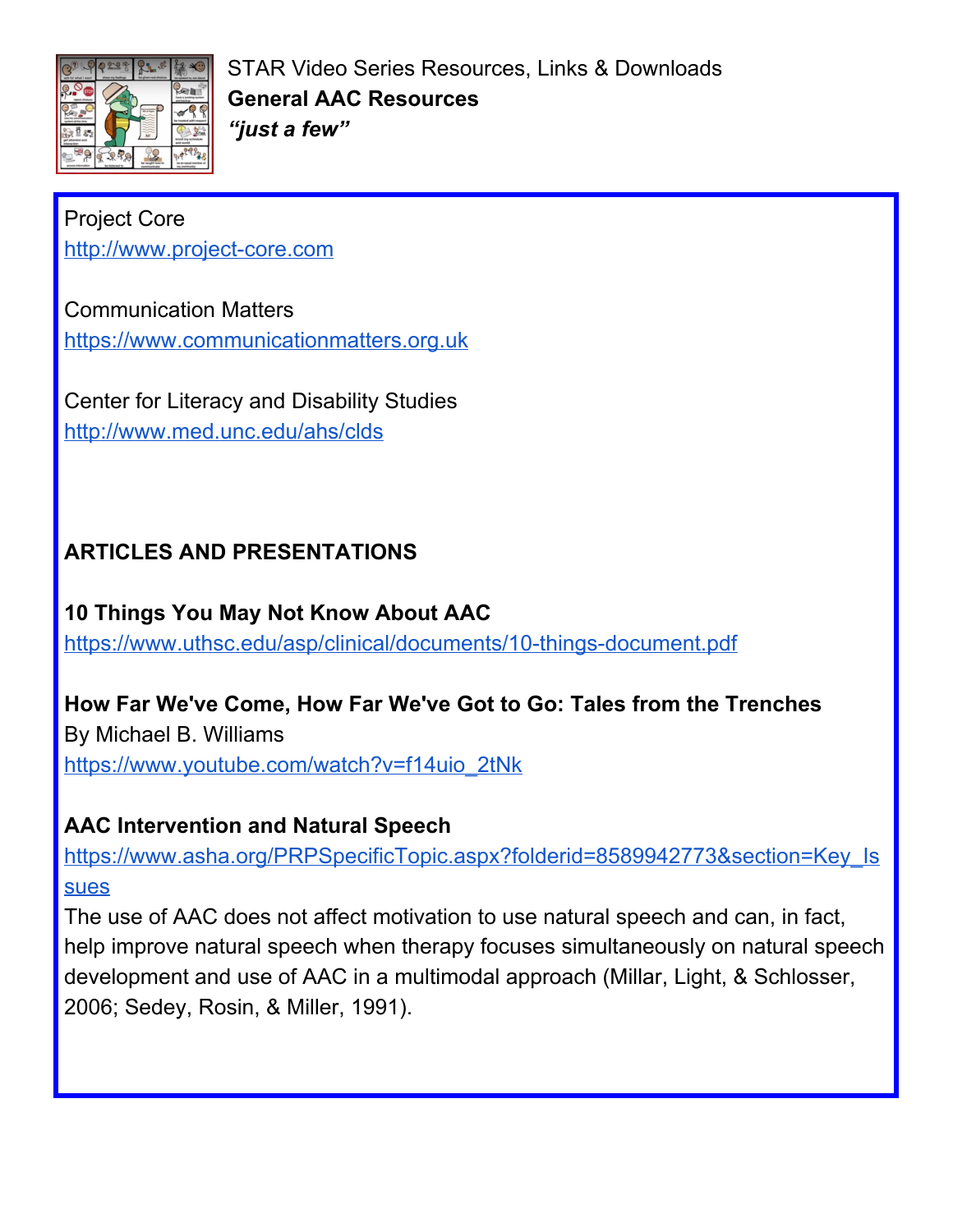

STAR Video Series Resources, Links & Downloads **General AAC Resources** *"just a few"*

#### Project Core

[http://www.project-core.com](http://www.project-core.com/)

#### Communication Matters

[https://www.communicationmatters.org.uk](https://www.communicationmatters.org.uk/)

Center for Literacy and Disability Studies <http://www.med.unc.edu/ahs/clds>

## **ARTICLES AND PRESENTATIONS**

**10 Things You May Not Know About AAC** <https://www.uthsc.edu/asp/clinical/documents/10-things-document.pdf>

#### **How Far We've Come, How Far We've Got to Go: Tales from the Trenches**

By Michael B. Williams [https://www.youtube.com/watch?v=f14uio\\_2tNk](https://www.youtube.com/watch?v=f14uio_2tNk)

#### **AAC Intervention and Natural Speech**

[https://www.asha.org/PRPSpecificTopic.aspx?folderid=8589942773&section=Key\\_Is](https://www.asha.org/PRPSpecificTopic.aspx?folderid=8589942773§ion=Key_Issues) [sues](https://www.asha.org/PRPSpecificTopic.aspx?folderid=8589942773§ion=Key_Issues)

The use of AAC does not affect motivation to use natural speech and can, in fact, help improve natural speech when therapy focuses simultaneously on natural speech development and use of AAC in a multimodal approach (Millar, Light, & Schlosser, 2006; Sedey, Rosin, & Miller, 1991).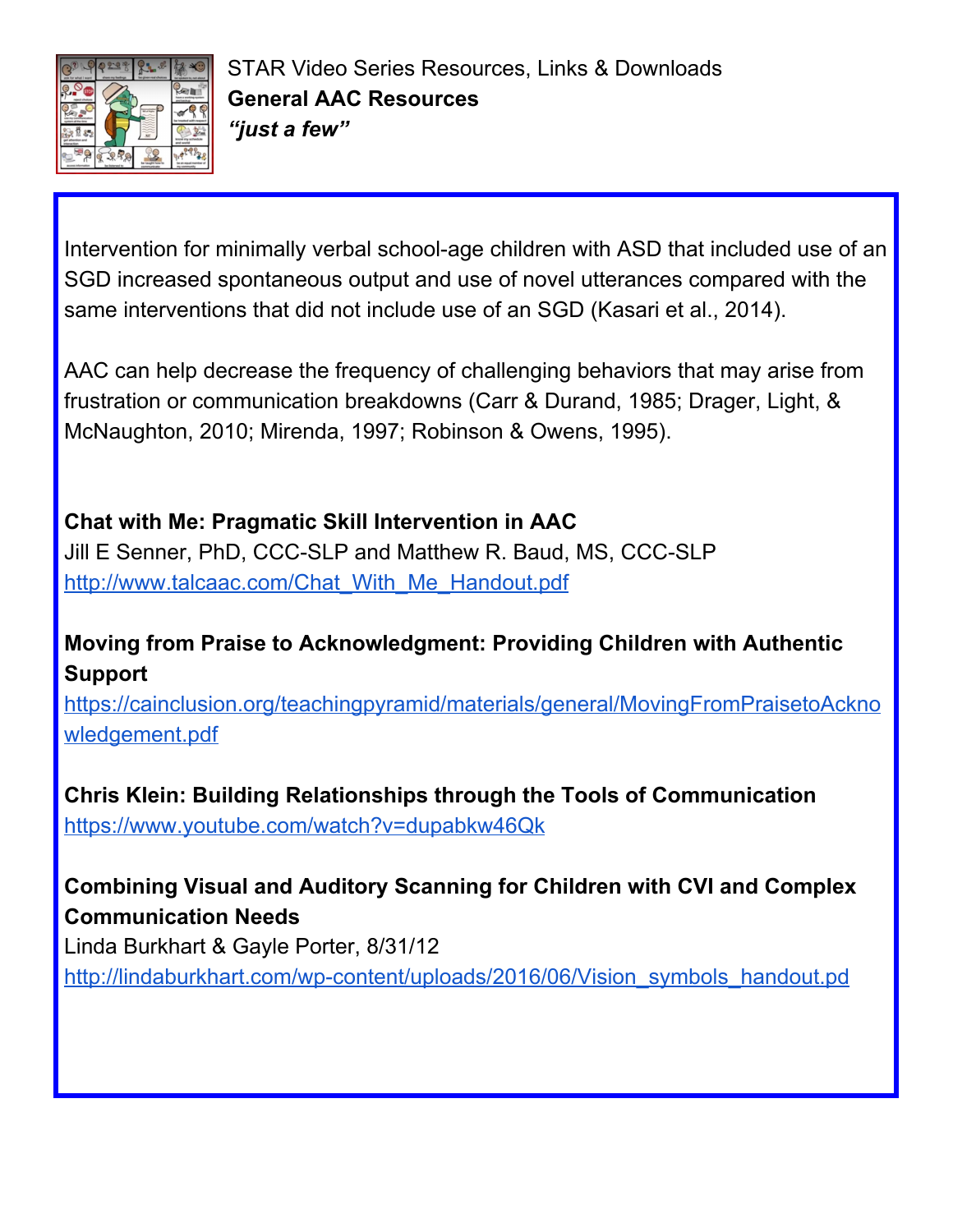

Intervention for minimally verbal school-age children with ASD that included use of an SGD increased spontaneous output and use of novel utterances compared with the same interventions that did not include use of an SGD (Kasari et al., 2014).

AAC can help decrease the frequency of challenging behaviors that may arise from frustration or communication breakdowns (Carr & Durand, 1985; Drager, Light, & McNaughton, 2010; Mirenda, 1997; Robinson & Owens, 1995).

### **Chat with Me: Pragmatic Skill Intervention in AAC**

Jill E Senner, PhD, CCC-SLP and Matthew R. Baud, MS, CCC-SLP [http://www.talcaac.com/Chat\\_With\\_Me\\_Handout.pdf](http://www.talcaac.com/Chat_With_Me_Handout.pdf)

## **Moving from Praise to Acknowledgment: Providing Children with Authentic Support**

[https://cainclusion.org/teachingpyramid/materials/general/MovingFromPraisetoAckno](https://cainclusion.org/teachingpyramid/materials/general/MovingFromPraisetoAcknowledgement.pdf) [wledgement.pdf](https://cainclusion.org/teachingpyramid/materials/general/MovingFromPraisetoAcknowledgement.pdf)

**Chris Klein: Building Relationships through the Tools of Communication** <https://www.youtube.com/watch?v=dupabkw46Qk>

## **Combining Visual and Auditory Scanning for Children with CVI and Complex Communication Needs**

Linda Burkhart & Gayle Porter, 8/31/12

[http://lindaburkhart.com/wp-content/uploads/2016/06/Vision\\_symbols\\_handout.pd](http://lindaburkhart.com/wp-content/uploads/2016/06/Vision_symbols_handout.pdf)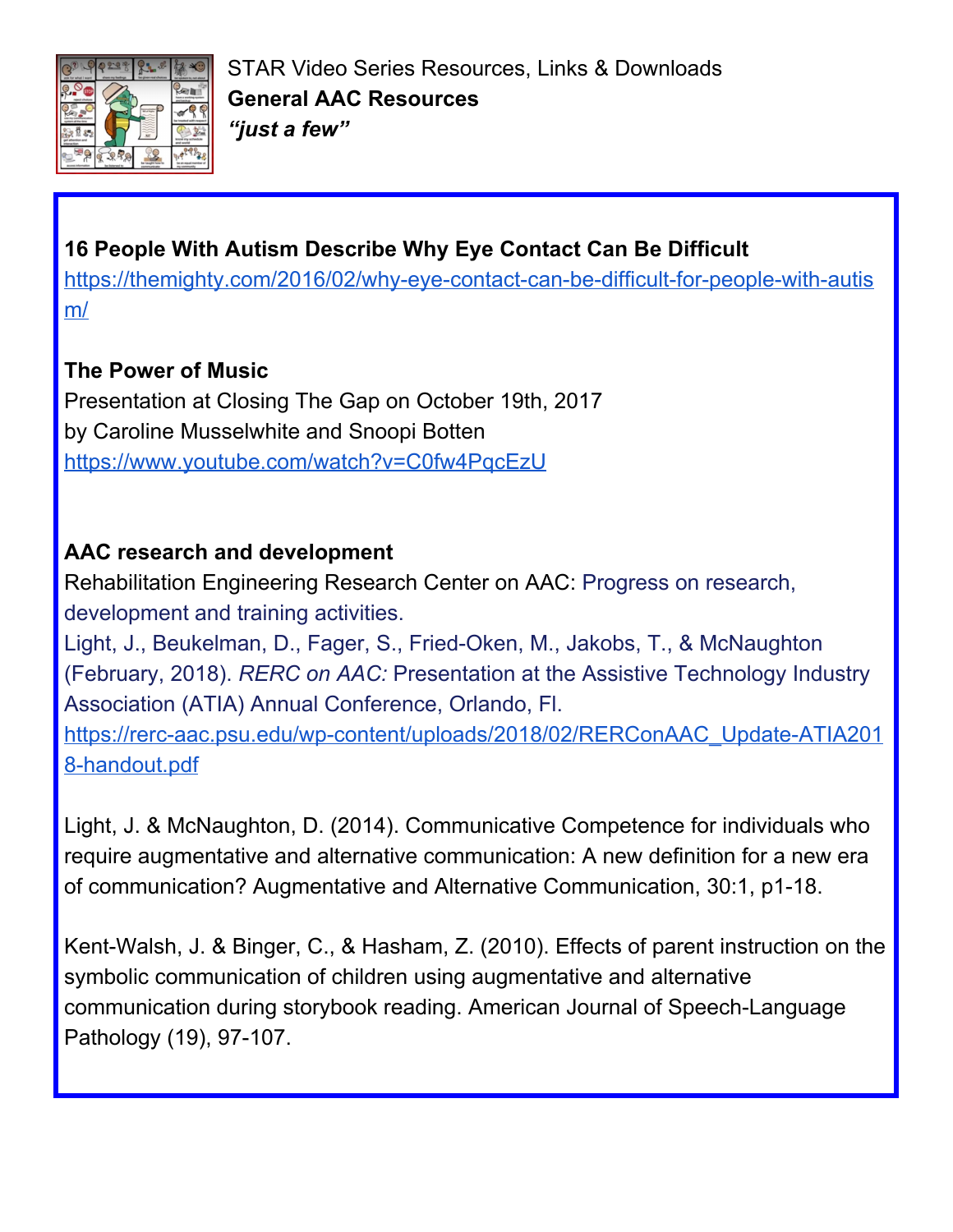

## **16 People With Autism Describe Why Eye Contact Can Be Difficult**

[https://themighty.com/2016/02/why-eye-contact-can-be-difficult-for-people-with-autis](https://themighty.com/2016/02/why-eye-contact-can-be-difficult-for-people-with-autism/) [m/](https://themighty.com/2016/02/why-eye-contact-can-be-difficult-for-people-with-autism/)

## **The Power of Music**

Presentation at Closing The Gap on October 19th, 2017 by Caroline Musselwhite and Snoopi Botten <https://www.youtube.com/watch?v=C0fw4PqcEzU>

## **AAC research and development**

Rehabilitation Engineering Research Center on AAC: Progress on research, development and training activities.

Light, J., Beukelman, D., Fager, S., Fried-Oken, M., Jakobs, T., & McNaughton (February, 2018). *RERC on AAC:* Presentation at the Assistive Technology Industry Association (ATIA) Annual Conference, Orlando, Fl.

[https://rerc-aac.psu.edu/wp-content/uploads/2018/02/RERConAAC\\_Update-ATIA201](https://rerc-aac.psu.edu/wp-content/uploads/2018/02/RERConAAC_Update-ATIA2018-handout.pdf) [8-handout.pdf](https://rerc-aac.psu.edu/wp-content/uploads/2018/02/RERConAAC_Update-ATIA2018-handout.pdf)

Light, J. & McNaughton, D. (2014). Communicative Competence for individuals who require augmentative and alternative communication: A new definition for a new era of communication? Augmentative and Alternative Communication, 30:1, p1-18.

Kent-Walsh, J. & Binger, C., & Hasham, Z. (2010). Effects of parent instruction on the symbolic communication of children using augmentative and alternative communication during storybook reading. American Journal of Speech-Language Pathology (19), 97-107.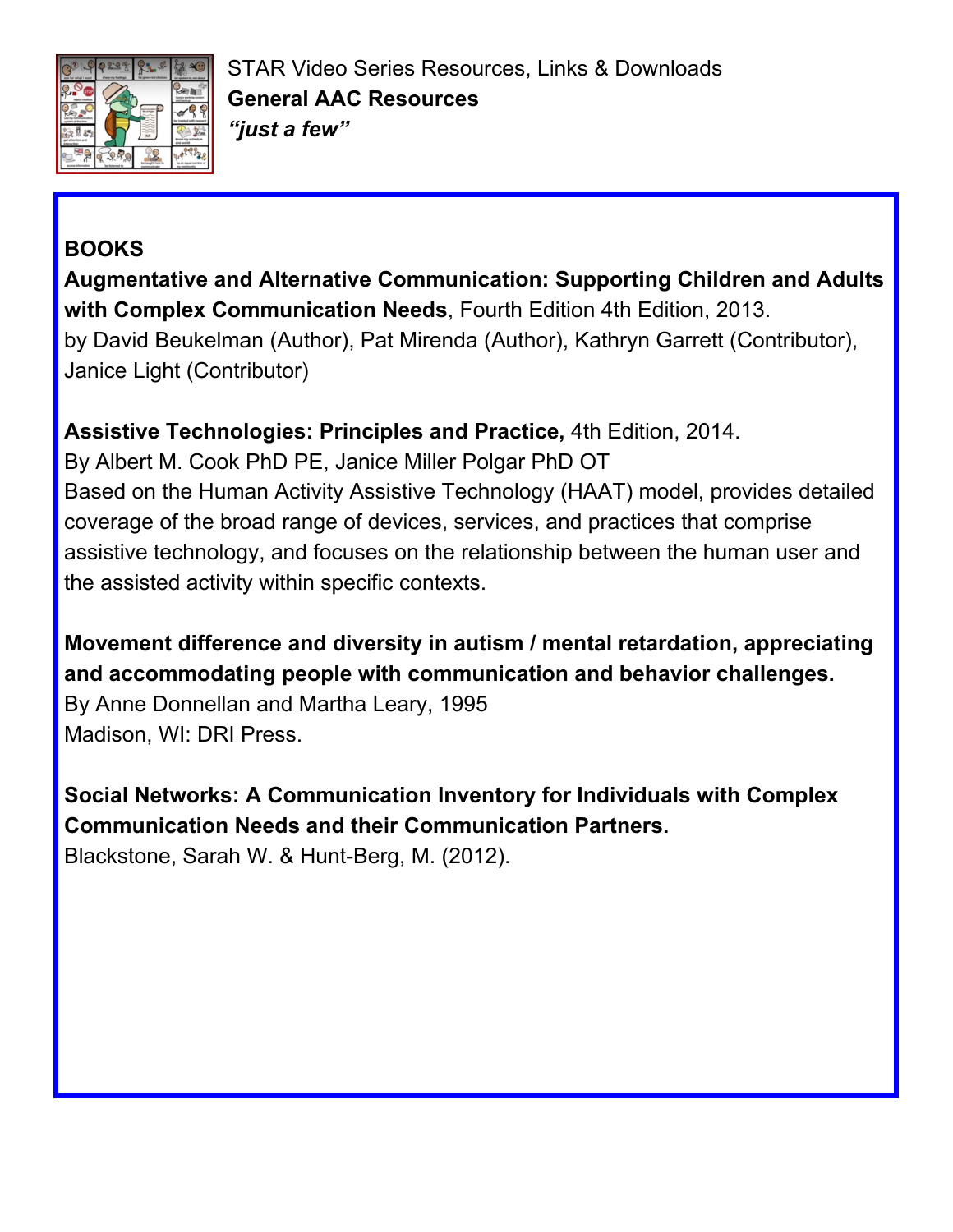

# **BOOKS**

**Augmentative and Alternative Communication: Supporting Children and Adults with Complex Communication Needs**, Fourth Edition 4th Edition, 2013. by David Beukelman (Author), Pat Mirenda (Author), Kathryn Garrett (Contributor), Janice Light (Contributor)

**Assistive Technologies: Principles and Practice,** 4th Edition, 2014.

By Albert M. Cook PhD PE, Janice Miller Polgar PhD OT Based on the Human Activity Assistive Technology (HAAT) model, provides detailed coverage of the broad range of devices, services, and practices that comprise assistive technology, and focuses on the relationship between the human user and the assisted activity within specific contexts.

**Movement difference and diversity in autism / mental retardation, appreciating and accommodating people with communication and behavior challenges.** By Anne Donnellan and Martha Leary, 1995 Madison, WI: DRI Press.

**Social Networks: A Communication Inventory for Individuals with Complex Communication Needs and their Communication Partners.** Blackstone, Sarah W. & Hunt-Berg, M. (2012).